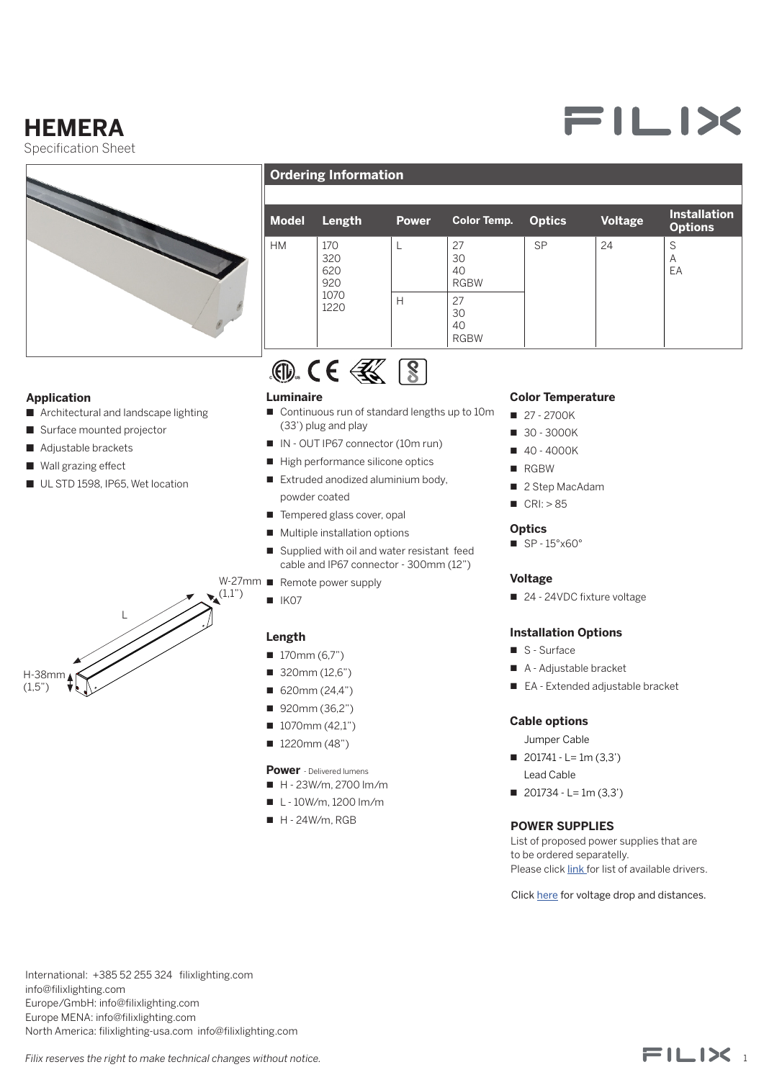## **HEMERA**

Specification Sheet



### **Ordering Information**

| <b>Model</b> | Length                                   | <b>Power</b> | <b>Color Temp.</b>            | <b>Optics</b> | Voltage | <b>Installation</b><br><b>Options</b> |
|--------------|------------------------------------------|--------------|-------------------------------|---------------|---------|---------------------------------------|
| <b>HM</b>    | 170<br>320<br>620<br>920<br>1070<br>1220 |              | 27<br>30<br>40<br><b>RGBW</b> | <b>SP</b>     | 24      | S<br>Α<br>EA                          |
|              |                                          | H            | 27<br>30<br>40<br><b>RGBW</b> |               |         |                                       |



#### **Application**

H-38mm  $(1,5")$ 

- Architectural and landscape lighting
- Surface mounted projector
- Adjustable brackets
- Wall grazing effect
- UL STD 1598, IP65, Wet location

 $\mathbf{L}$ 



- Continuous run of standard lengths up to 10m (33') plug and play
- IN OUT IP67 connector (10m run)
- $\blacksquare$  High performance silicone optics
- $\blacksquare$  Extruded anodized aluminium body. powder coated
- $\blacksquare$  Tempered glass cover, opal
- $\blacksquare$  Multiple installation options
- Supplied with oil and water resistant feed cable and IP67 connector - 300mm (12")
- W-27mm Remote power supply
	- $N$  IK07

 $(1,1")$ 

#### **Length**

- $170mm(6,7")$
- $\blacksquare$  320mm (12,6")
- $\blacksquare$  620mm (24,4")
- 920mm (36,2")
- $1070$ mm (42,1")
- $1220mm (48")$

#### **Power** - Delivered lumens

- $H 23W/m$ , 2700 lm/m
- $L 10W/m$ , 1200 lm/m
- $H 24W/m$ , RGB

#### **Color Temperature**

- $27 2700K$
- $30 3000K$
- $40 4000K$
- **n** RGBW
- $\blacksquare$  2 Step MacAdam
- $CRI: > 85$

#### **Optics**

 $\blacksquare$  SP - 15°x60°

#### **Voltage**

■ 24 - 24VDC fixture voltage

#### **Installation Options**

- S Surface
- A Adjustable bracket
- EA Extended adjustable bracket

#### **Cable options**

- Jumper Cable
- $\blacksquare$  201741 L= 1m (3,3') Lead Cable
- $\blacksquare$  201734 L= 1m (3,3')

#### **POWER SUPPLIES**

List of proposed power supplies that are to be ordered separatelly. Please click *link* for list of available drivers.

Click [here](https://direct.lc.chat/11747922/) for voltage drop and distances.

International: +385 52 255 324 filixlighting.com info@filixlighting.com Europe/GmbH: info@filixlighting.com Europe MENA: info@filixlighting.com North America: filixlighting-usa.com info@filixlighting.com



# FILIX